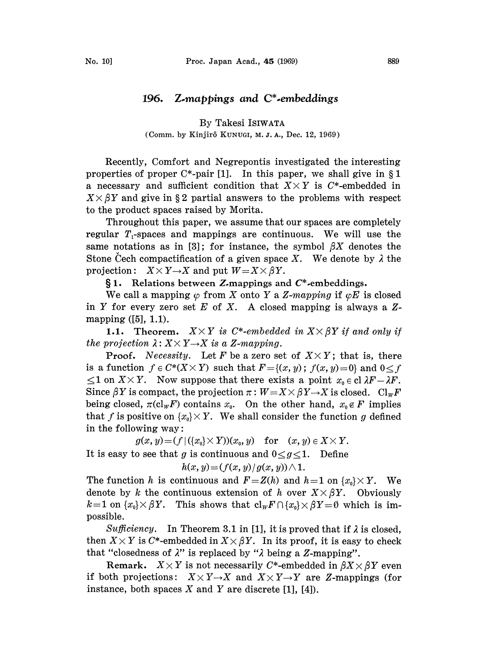## 196. Z.mappings and C\*.embeddings

By Takesi ISIWATA (Comm. by Kinjirô KUNUGI, M. J. A., Dec. 12, 1969)

Recently, Comfort and Negrepontis investigated the interesting properties of proper  $C^*$ -pair [1]. In this paper, we shall give in  $\S 1$ a necessary and sufficient condition that  $X \times Y$  is C\*-embedded in  $X \times \beta Y$  and give in §2 partial answers to the problems with respect to the product spaces raised by Morita.

Throughout this paper, we assume that our spaces are completely regular  $T_1$ -spaces and mappings are continuous. We will use the same notations as in [3]; for instance, the symbol  $\beta X$  denotes the Stone Cech compactification of a given space X. We denote by  $\lambda$  the projection:  $X \times Y \rightarrow X$  and put  $W = X \times \beta Y$ .

 $§ 1.$  Relations between Z-mappings and  $C^*$ -embeddings.

We call a mapping  $\varphi$  from X onto Y a Z-mapping if  $\varphi E$  is closed in Y for every zero set E of X. A closed mapping is always a  $Z$ mapping ([5], 1.1).

1.1. Theorem.  $X \times Y$  is C\*-embedded in  $X \times \beta Y$  if and only if the projection  $\lambda: X \times Y \rightarrow X$  is a Z-mapping.<br>Proof. Necessity. Let F be a zero se

**Proof.** Necessity. Let F be a zero set of  $X \times Y$ ; that is, there is a function  $f \in C^{*}(X \times Y)$  such that  $F = \{(x, y); f(x, y) = 0\}$  and  $0 \le f$  $\leq 1$  on  $X \times Y$ . Now suppose that there exists a point  $x_0 \in \text{cl } \lambda F - \lambda F$ . Since  $\beta Y$  is compact, the projection  $\pi : W = X \times \beta Y \rightarrow X$  is closed.  $\text{Cl}_W F$ <br>being closed.  $\pi(c) = F$ ) contains  $x$ . On the other hand,  $x \notin F$  implies being closed,  $\pi(\mathrm{cl}_w F)$  contains  $x_0$ . On the other hand,  $x_0 \notin F$  implies that f is positive on  $\{x_0\}\times Y$ . We shall consider the function g defined in the following way:

 $g(x, y) = (f | (\{x_0\} \times Y))(x_0, y)$  for  $(x, y) \in X \times Y$ . It is easy to see that g is continuous and  $0 < g < 1$ . Define

 $h(x, y) = (f(x, y) / g(x, y)) \wedge 1.$ 

The function h is continuous and  $F = Z(h)$  and  $h=1$  on  $\{x_0\}\times Y$ . We denote by k the continuous extension of h over  $X \times \beta Y$ . Obviously  $k=1$  on  $\{x_0\}\times\beta Y$ . This shows that  $\text{cl}_{W}F\cap\{x_0\}\times\beta Y=0$  which is impossible.

Sufficiency. In Theorem 3.1 in [1], it is proved that if  $\lambda$  is closed, then  $X \times Y$  is C\*-embedded in  $X \times \beta Y$ . In its proof, it is easy to check that "closedness of  $\lambda$ " is replaced by " $\lambda$  being a Z-mapping".

Remark.  $X \times Y$  is not necessarily C\*-embedded in  $\beta X \times \beta Y$  even if both projections:  $X \times Y \rightarrow X$  and  $X \times Y \rightarrow Y$  are Z-mappings (for instance, both spaces  $X$  and  $Y$  are discrete [1], [4]).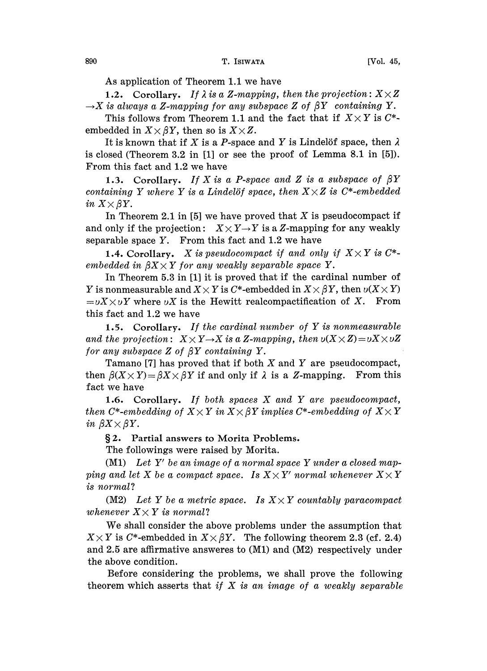As application of Theorem 1.1 we have

1.2. Corollary. If  $\lambda$  is a Z-mapping, then the projection:  $X \times Z$  $\rightarrow$ X is always a Z-mapping for any subspace Z of  $\beta Y$  containing Y.

This follows from Theorem 1.1 and the fact that if  $X \times Y$  is  $C^*$ embedded in  $X \times \beta Y$ , then so is  $X \times Z$ .

It is known that if X is a P-space and Y is Lindelöf space, then  $\lambda$ is closed (Theorem 3.2 in  $[1]$  or see the proof of Lemma 8.1 in  $[5]$ ). From this fact and 1.2 we have

1.3. Corollary. If X is a P-space and Z is a subspace of  $\beta Y$ containing Y where Y is a Lindelöf space, then  $X \times Z$  is C\*-embedded in  $X\times\beta Y$ .

In Theorem 2.1 in [5] we have proved that  $X$  is pseudocompact if and only if the projection:  $X \times Y \rightarrow Y$  is a Z-mapping for any weakly separable space  $Y$ . From this fact and 1.2 we have

1.4. Corollary. X is pseudocompact if and only if  $X \times Y$  is  $C^*$ embedded in  $\beta X \times Y$  for any weakly separable space Y.

In Theorem 5.3 in [1] it is proved that if the cardinal number of Y is nonmeasurable and  $X \times Y$  is C\*-embedded in  $X \times \beta Y$ , then  $\nu(X \times Y)$  $=\partial X \times \partial Y$  where  $\partial X$  is the Hewitt realcompactification of X. From this fact and 1.2 we have

1.5. Corollary. If the cardinal number of  $Y$  is nonmeasurable and the projection:  $X \times Y \rightarrow X$  is a Z-mapping, then  $\nu(X \times Z) = \nu X \times \nu Z$ for any subspace  $Z$  of  $\beta Y$  containing  $Y$ .

Tamano [7] has proved that if both  $X$  and  $Y$  are pseudocompact, then  $\beta(X \times Y) = \beta X \times \beta Y$  if and only if  $\lambda$  is a Z-mapping. From this fact we have

1.6. Corollary. If both spaces X and Y are pseudocompact, then C\*-embedding of  $X \times Y$  in  $X \times \beta Y$  implies C\*-embedding of  $X \times Y$ in  $\beta X \times \beta Y$ .

2. Partial answers to Morita Problems.

The followings were raised by Morita.

(M1) Let  $Y'$  be an image of a normal space Y under a closed mapping and let X be a compact space. Is  $X \times Y'$  normal whenever  $X \times Y$ is normal?

(M2) Let Y be a metric space. Is  $X \times Y$  countably paracompact whenever  $X \times Y$  is normal?

We shall consider the above problems under the assumption that  $X \times Y$  is C\*-embedded in  $X \times \beta Y$ . The following theorem 2.3 (cf. 2.4) and 2.5 are affirmative answeres to (M1) and (M2) respectively under the above condition.

Before considering the problems, we shall prove the following theorem which asserts that if  $X$  is an image of a weakly separable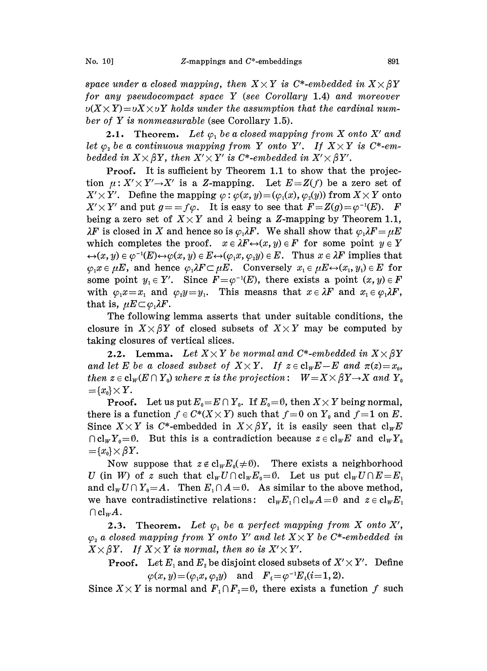space under a closed mapping, then  $X \times Y$  is C\*-embedded in  $X \times \beta Y$ for any pseudocompact space Y (see Corollary 1.4) and moreover  $v(X \times Y) = vX \times vY$  holds under the assumption that the cardinal number of Y is nonmeasurable (see Corollary 1.5).

**2.1.** Theorem. Let  $\varphi_1$  be a closed mapping from X onto X' and let  $\varphi_2$  be a continuous mapping from Y onto Y'. If  $X \times Y$  is C\*-embedded in  $X' \times \beta Y$ , then  $X' \times Y'$  is C\*-embedded in  $X' \times \beta Y'$ .

Proof, It is sufficient by Theorem 1.1 to show that the projection  $\mu: X' \times Y' \rightarrow X'$  is a Z-mapping. Let  $E = Z(f)$  be a zero set of  $X' \times Y'$ . Define the mapping  $\varphi : \varphi(x, y) = (\varphi_1(x), \varphi_2(y))$  from  $X \times Y$  onto  $X' \times Y'$  and put  $g = f \varphi$ . It is easy to see that  $F = Z(g) = \varphi^{-1}(E)$ . F  $X' \times Y'$ . Define the mapping  $\varphi : \varphi(x, y) = (\varphi_1(x), \varphi_2(y))$  from  $X \times Y$  onto being a zero set of  $X \times Y$  and  $\lambda$  being a Z-mapping by Theorem 1.1,  $\lambda F$  is closed in X and hence so is  $\varphi_1 \lambda F$ . We shall show that  $\varphi_1 \lambda F = \mu E$ which completes the proof,  $x \in \lambda F \leftrightarrow (x, y) \in F$  for some point  $y \in Y$  $\leftrightarrow(x, y) \in \varphi^{-1}(E) \leftrightarrow \varphi(x, y) \in E \leftrightarrow (\varphi_1 x, \varphi_2 y) \in E$ . Thus  $x \in \lambda F$  implies that  $\varphi_1x \in \mu E$ , and hence  $\varphi_1\lambda F \subset \mu E$ . Conversely  $x_1 \in \mu E \leftrightarrow (x_1, y_1) \in E$  for some point  $y_1 \in Y'$ . Since  $F = \varphi^{-1}(E)$ , there exists a point  $(x, y) \in F$ with  $\varphi_1 x=x_1$  and  $\varphi_2 y=y_1$ . This measns that  $x \in \lambda F$  and  $x_1 \in \varphi_1 \lambda F$ , that is,  $\mu E \subset \varphi_1 \lambda F$ .

The following lemma asserts that under suitable conditions, the closure in  $X\times\beta Y$  of closed subsets of  $X\times Y$  may be computed by taking closures of vertical slices.

**2.2.** Lemma. Let  $X \times Y$  be normal and C\*-embedded in  $X \times \beta Y$ and let E be a closed subset of  $X \times Y$ . If  $z \in cl_w E - E$  and  $\pi(z) = x_0$ , then  $z \in \text{cl}_w(E \cap Y_0)$  where  $\pi$  is the projection:  $W = X \times \beta Y \rightarrow X$  and  $Y_0$  $=\{x_0\}\times Y.$ 

**Proof.** Let us put  $E_0 = E \cap Y_0$ . If  $E_0 = \emptyset$ , then  $X \times Y$  being normal, there is a function  $f \in C^*(X \times Y)$  such that  $f=0$  on  $Y_0$  and  $f=1$  on  $E$ .<br>Since  $X \times Y$  is  $C^*$ -embedded in  $X \times \beta Y$ , it is easily seen that  $cl_w E$  $\bigcap cl_WY_0=0$ . But this is a contradiction because  $z \in cl_W E$  and  $cl_WY_0$  $=\{x_{0}\}\times\beta Y.$ 

Now suppose that  $z \notin cl_W E_0(\neq \emptyset)$ . There exists a neighborhood U (in W) of z such that  $cl_WU \cap cl_WE_0 = \emptyset$ . Let us put  $cl_WU \cap E = E_1$ and  $cl_wU \cap Y_0 = A$ . Then  $E_1 \cap A = \emptyset$ . As similar to the above method, we have contradistinctive relations:  $cl_wE_1 \cap cl_wA=0$  and  $z \in cl_wE_1$  $\bigcap \text{cl}_w A$ .

2.3. Theorem. Let  $\varphi_1$  be a perfect mapping from X onto X',  $\varphi_2$  a closed mapping from Y onto Y' and let  $X \times Y$  be C\*-embedded in  $X \times \beta Y$ . If  $X \times Y$  is normal, then so is  $X' \times Y'$ .

**Proof.** Let  $E_1$  and  $E_2$  be disjoint closed subsets of  $X' \times Y'$ . Define  $\varphi(x, y) = (\varphi_1 x, \varphi_2 y)$  and  $F_i = \varphi^{-1} E_i (i = 1, 2)$ .

Since  $X \times Y$  is normal and  $F_1 \cap F_2 = \emptyset$ , there exists a function f such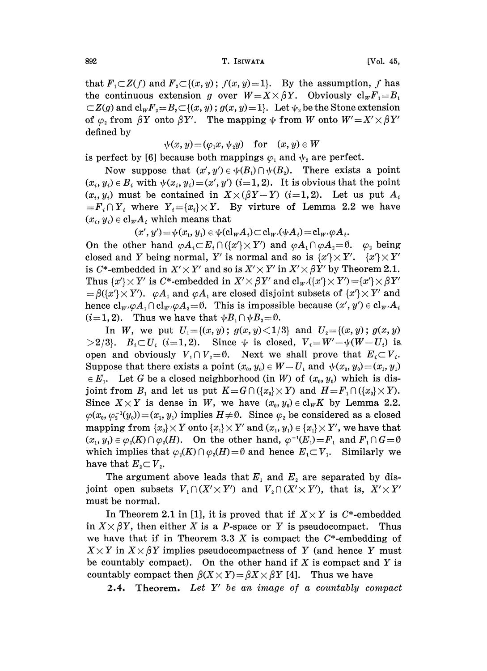892 T. ISIWATA [Vol. 45,

that  $F_1\subset Z(f)$  and  $F_2\subset \{(x,y); f(x,y)=1\}$ . By the assumption, f has the continuous extension g over  $W = X \times \beta Y$ . Obviously  $cl_wF_i = B_i$  $\subset Z(g)$  and  $\text{cl}_wF_z=B_z\subset \{(x, y); g(x, y)=1\}.$  Let  $\psi_z$  be the Stone extension of  $\varphi_2$  from  $\beta Y$  onto  $\beta Y'$ . The mapping  $\psi$  from W onto  $W' = X' \times \beta Y'$ defined by

$$
\psi(x, y) = (\varphi_1 x, \psi_2 y) \quad \text{for} \quad (x, y) \in W
$$

is perfect by [6] because both mappings  $\varphi_1$  and  $\psi_2$  are perfect.

Now suppose that  $(x', y') \in \psi(B_1) \cap \psi(B_2)$ . There exists a point  $(x_i, y_i) \in B_i$  with  $\psi(x_i, y_i) = (x', y')$   $(i=1, 2)$ . It is obvious that the point  $(x_i, y_i)$  must be contained in  $X \times (\beta Y - Y)$  (i=1,2). Let us put  $A_i$  $=F_i\cap Y_i$  where  $Y_i=\{x_i\}\times Y$ . By virture of Lemma 2.2 we have  $(x_i, y_i) \in \text{cl}_W A_i$  which means that

 $(x', y') = \psi(x_1, y_1) \in \psi(\mathrm{cl}_W A_i) \subset \mathrm{cl}_W(\psi A_i) = \mathrm{cl}_W \varphi A_i.$ 

On the other hand  $\varphi A_i \subset E_i \cap (\{x' \} \times Y')$  and  $\varphi A_i \cap \varphi A_i = \emptyset$ .  $\varphi_i$  being closed and Y being normal, Y' is normal and so is  $\{x'\}\times Y'$ .  $\{x'\}\times Y'$ is C\*-embedded in  $X' \times Y'$  and so is  $X' \times Y'$  in  $X' \times \beta Y'$  by Theorem 2.1. Thus  $\{x'\}\times Y'$  is C\*-embedded in  $X'\times \beta Y'$  and  $cl_{w'}(\{x'\}\times Y') = \{x'\}\times \beta Y'$  $=\beta({x'} \times Y')$ .  $\varphi A_1$  and  $\varphi A_1$  are closed disjoint subsets of  ${x'} \times Y'$  and hence  $cl_{w'}\varphi A_1 \cap cl_{w'}\varphi A_2 = \emptyset$ . This is impossible because  $(x', y') \in cl_{w'}A_i$  $(i=1, 2)$ . Thus we have that  $\psi B_1 \cap \psi B_2 = \emptyset$ .

In W, we put  $U_1 = \{(x, y); g(x, y) < 1/3\}$  and  $U_2 = \{(x, y); g(x, y) > 2/3\}$ .  $B_i \subset U_i$  (i=1,2). Since  $\psi$  is closed,  $V_i = W' - \psi(W - U_i)$  is. open and obviously  $V_1 \cap V_2 = \emptyset$ . Next we shall prove that  $E_i \subset V_i$ . Suppose that there exists a point  $(x_0, y_0) \in W-U_1$  and  $\psi(x_0, y_0)=(x_1, y_1)$  $\in E_1$ . Let G be a closed neighborhood (in W) of  $(x_0, y_0)$  which is disjoint from  $B_1$  and let us put  $K = G \cap (\{x_0\} \times Y)$  and  $H = F_1 \cap (\{x_0\} \times Y)$ . Since  $X \times Y$  is dense in W, we have  $(x_0, y_0) \in \text{cl}_W K$  by Lemma 2.2.  $\varphi(x_0, \varphi_2^{-1}(y_0))=(x_1, y_1)$  implies  $H\neq\emptyset$ . Since  $\varphi_2$  be considered as a closed mapping from  $\{x_0\}\times Y$  onto  $\{x_1\}\times Y'$  and  $(x_1, y_1) \in \{x_1\}\times Y'$ , we have that  $(x_1, y_1) \in \varphi_2(K) \cap \varphi_2(H)$ . On the other hand,  $\varphi^{-1}(E_1)=F_1$  and  $F_1 \cap G=0$  $(x_1, y_1) \in \varphi_2(K) \cap \varphi_2(H)$ . On the other hand,  $\varphi^{-1}(E_1) = F_1$  and  $F_1 \cap G = \emptyset$ <br>which implies that  $\varphi_2(K) \cap \varphi_2(H) = \emptyset$  and hence  $E_1 \subset V_1$ . Similarly we which implies<br>have that  $E_2 \subset$ 

The argument above leads that  $E_1$  and  $E_2$  are separated by disjoint open subsets  $V_1 \cap (X' \times Y')$  and  $V_2 \cap (X' \times Y')$ , that is,  $X' \times Y'$ must be normal.

In Theorem 2.1 in [1], it is proved that if  $X \times Y$  is C\*-embedded  $X \times \beta Y$ , then either X is a P-space or Y is pseudocompact. Thus in  $X \times \beta Y$ , then either X is a P-space or Y is pseudocompact. we have that if in Theorem 3.3  $X$  is compact the  $C^*$ -embedding of  $X \times Y$  in  $X \times \beta Y$  implies pseudocompactness of Y (and hence Y must be countably compact). On the other hand if  $X$  is compact and  $Y$  is countably compact then  $\beta(X \times Y) = \beta X \times \beta Y$  [4]. Thus we have

**2.4.** Theorem. Let  $Y'$  be an image of a countably compact